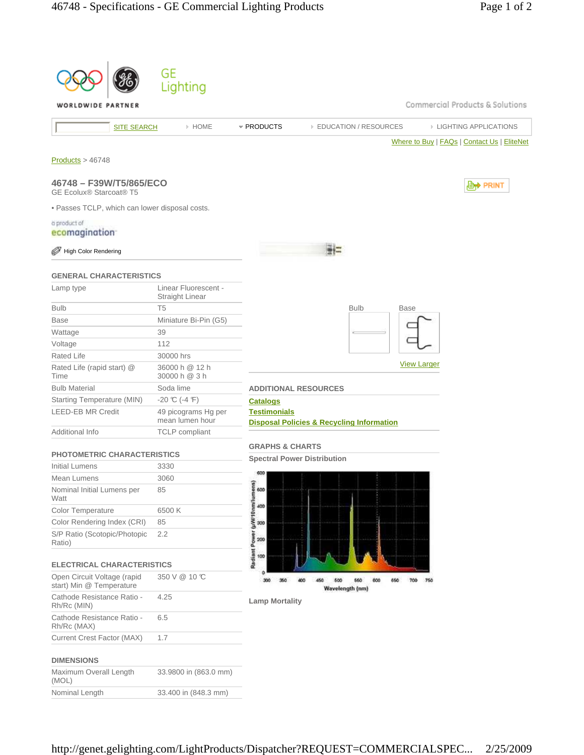|                                                           | GE<br>Lighting                                 |                                                                                       |  |  |  |  |  |  |
|-----------------------------------------------------------|------------------------------------------------|---------------------------------------------------------------------------------------|--|--|--|--|--|--|
| Commercial Products & Solutions<br>WORLDWIDE PARTNER      |                                                |                                                                                       |  |  |  |  |  |  |
| <b>SITE SEARCH</b>                                        | > HOME                                         | * PRODUCTS<br><b>EDUCATION / RESOURCES</b><br><b>EIGHTING APPLICATIONS</b>            |  |  |  |  |  |  |
|                                                           |                                                | Where to Buy   FAQs   Contact Us   EliteNet                                           |  |  |  |  |  |  |
| Products > 46748                                          |                                                |                                                                                       |  |  |  |  |  |  |
| 46748 - F39W/T5/865/ECO<br><b>GE Ecolux® Starcoat® T5</b> |                                                | <b>D</b> <sup>→</sup> PRINT                                                           |  |  |  |  |  |  |
| · Passes TCLP, which can lower disposal costs.            |                                                |                                                                                       |  |  |  |  |  |  |
| a product of                                              |                                                |                                                                                       |  |  |  |  |  |  |
| ecomagination                                             |                                                |                                                                                       |  |  |  |  |  |  |
| <b>High Color Rendering</b>                               |                                                |                                                                                       |  |  |  |  |  |  |
| <b>GENERAL CHARACTERISTICS</b>                            |                                                |                                                                                       |  |  |  |  |  |  |
| Lamp type                                                 | Linear Fluorescent -<br><b>Straight Linear</b> |                                                                                       |  |  |  |  |  |  |
| <b>Bulb</b>                                               | T <sub>5</sub>                                 | <b>Bulb</b><br><b>Base</b>                                                            |  |  |  |  |  |  |
| <b>Base</b>                                               | Miniature Bi-Pin (G5)                          |                                                                                       |  |  |  |  |  |  |
| Wattage                                                   | 39                                             |                                                                                       |  |  |  |  |  |  |
| Voltage                                                   | 112                                            |                                                                                       |  |  |  |  |  |  |
| <b>Rated Life</b>                                         | 30000 hrs                                      | <b>View Larger</b>                                                                    |  |  |  |  |  |  |
| Rated Life (rapid start) @<br>Time                        | 36000 h @ 12 h<br>30000 h @ 3 h                |                                                                                       |  |  |  |  |  |  |
| <b>Bulb Material</b>                                      | Soda lime                                      | <b>ADDITIONAL RESOURCES</b>                                                           |  |  |  |  |  |  |
| Starting Temperature (MIN)                                | $-20$ °C (-4 °F)                               | <b>Catalogs</b>                                                                       |  |  |  |  |  |  |
| <b>LEED-EB MR Credit</b>                                  | 49 picograms Hg per<br>mean lumen hour         | <b>Testimonials</b><br><b>Disposal Policies &amp; Recycling Information</b>           |  |  |  |  |  |  |
| Additional Info                                           | <b>TCLP</b> compliant                          |                                                                                       |  |  |  |  |  |  |
| <b>PHOTOMETRIC CHARACTERISTICS</b>                        |                                                | <b>GRAPHS &amp; CHARTS</b><br><b>Spectral Power Distribution</b>                      |  |  |  |  |  |  |
| Initial Lumens                                            | 3330                                           |                                                                                       |  |  |  |  |  |  |
| Mean Lumens                                               | 3060                                           | 600<br>Φ                                                                              |  |  |  |  |  |  |
| Nominal Initial Lumens per<br>Watt                        | 85                                             | • g/W:10nm/lumens)<br>ខ្លួំ ខ្ញុំ ខ្ញុំ                                               |  |  |  |  |  |  |
| Color Temperature                                         | 6500K                                          |                                                                                       |  |  |  |  |  |  |
| Color Rendering Index (CRI)                               | 85                                             |                                                                                       |  |  |  |  |  |  |
| S/P Ratio (Scotopic/Photopic<br>Ratio)                    | 2.2                                            | <b>Radiant Power</b><br>200                                                           |  |  |  |  |  |  |
| <b>ELECTRICAL CHARACTERISTICS</b>                         |                                                | 100                                                                                   |  |  |  |  |  |  |
| Open Circuit Voltage (rapid<br>start) Min @ Temperature   | 350 V @ 10 °C                                  | 300<br>350<br>700<br>750<br>400<br>450<br>600<br>560<br>600<br>650<br>Wavelength (nm) |  |  |  |  |  |  |
| Cathode Resistance Ratio -<br>Rh/Rc (MIN)                 | 4.25                                           | <b>Lamp Mortality</b>                                                                 |  |  |  |  |  |  |
| Cathode Resistance Ratio -<br>Rh/Rc (MAX)                 | 6.5                                            |                                                                                       |  |  |  |  |  |  |
| Current Crest Factor (MAX)                                | 1.7                                            |                                                                                       |  |  |  |  |  |  |
| <b>DIMENSIONS</b>                                         |                                                |                                                                                       |  |  |  |  |  |  |
| Maximum Overall Length<br>(MOL)                           | 33.9800 in (863.0 mm)                          |                                                                                       |  |  |  |  |  |  |
| Nominal Length                                            | 33.400 in (848.3 mm)                           |                                                                                       |  |  |  |  |  |  |
|                                                           |                                                |                                                                                       |  |  |  |  |  |  |